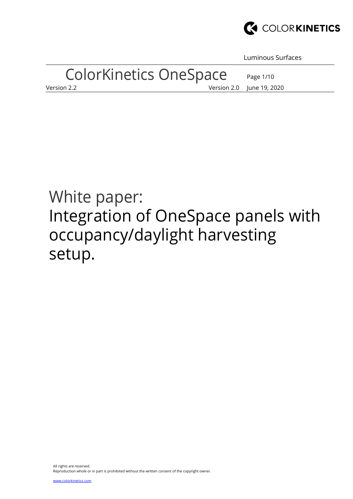

Luminous Surfaces

Page 1/10

# ColorKinetics OneSpace

Version 2.2 Version 2.0 June 19, 2020

# White paper: Integration of OneSpace panels with occupancy/daylight harvesting setup.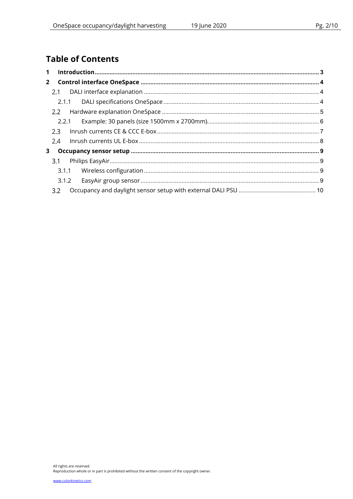# **Table of Contents**

| $2^{\circ}$ |         |  |  |
|-------------|---------|--|--|
|             |         |  |  |
|             |         |  |  |
|             |         |  |  |
|             |         |  |  |
|             | $2.3 -$ |  |  |
|             | 2.4     |  |  |
| 3           |         |  |  |
|             | 3.1     |  |  |
|             |         |  |  |
|             |         |  |  |
|             | 3.2     |  |  |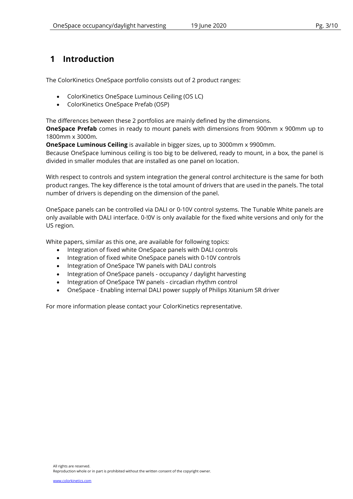## 1 Introduction

The ColorKinetics OneSpace portfolio consists out of 2 product ranges:

- ColorKinetics OneSpace Luminous Ceiling (OS LC)
- ColorKinetics OneSpace Prefab (OSP)

The differences between these 2 portfolios are mainly defined by the dimensions.

**OneSpace Prefab** comes in ready to mount panels with dimensions from 900mm x 900mm up to 1800mm x 3000m.

OneSpace Luminous Ceiling is available in bigger sizes, up to 3000mm x 9900mm.

Because OneSpace luminous ceiling is too big to be delivered, ready to mount, in a box, the panel is divided in smaller modules that are installed as one panel on location.

With respect to controls and system integration the general control architecture is the same for both product ranges. The key difference is the total amount of drivers that are used in the panels. The total number of drivers is depending on the dimension of the panel.

OneSpace panels can be controlled via DALI or 0-10V control systems. The Tunable White panels are only available with DALI interface. 0-!0V is only available for the fixed white versions and only for the US region.

White papers, similar as this one, are available for following topics:

- Integration of fixed white OneSpace panels with DALI controls
- Integration of fixed white OneSpace panels with 0-10V controls
- Integration of OneSpace TW panels with DALI controls
- Integration of OneSpace panels occupancy / daylight harvesting
- Integration of OneSpace TW panels circadian rhythm control
- OneSpace Enabling internal DALI power supply of Philips Xitanium SR driver

For more information please contact your ColorKinetics representative.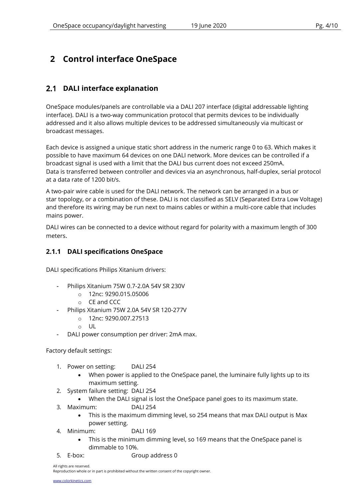# 2 Control interface OneSpace

## 2.1 DALI interface explanation

OneSpace modules/panels are controllable via a DALI 207 interface (digital addressable lighting interface). DALI is a two-way communication protocol that permits devices to be individually addressed and it also allows multiple devices to be addressed simultaneously via multicast or broadcast messages.

Each device is assigned a unique static short address in the numeric range 0 to 63. Which makes it possible to have maximum 64 devices on one DALI network. More devices can be controlled if a broadcast signal is used with a limit that the DALI bus current does not exceed 250mA. Data is transferred between controller and devices via an asynchronous, half-duplex, serial protocol at a data rate of 1200 bit/s.

A two-pair wire cable is used for the DALI network. The network can be arranged in a bus or star topology, or a combination of these. DALI is not classified as SELV (Separated Extra Low Voltage) and therefore its wiring may be run next to mains cables or within a multi-core cable that includes mains power.

DALI wires can be connected to a device without regard for polarity with a maximum length of 300 meters.

### 2.1.1 DALI specifications OneSpace

DALI specifications Philips Xitanium drivers:

- Philips Xitanium 75W 0.7-2.0A 54V SR 230V
	- o 12nc: 9290.015.05006
	- o CE and CCC
	- Philips Xitanium 75W 2.0A 54V SR 120-277V
		- o 12nc: 9290.007.27513
		- $\circ$  UL
- DALI power consumption per driver: 2mA max.

Factory default settings:

- 1. Power on setting: DALI 254
	- When power is applied to the OneSpace panel, the luminaire fully lights up to its maximum setting.
- 2. System failure setting: DALI 254
	- When the DALI signal is lost the OneSpace panel goes to its maximum state.
- 3. Maximum: DALI 254
	- This is the maximum dimming level, so 254 means that max DALI output is Max power setting.
- 4. Minimum: DALI 169
	- This is the minimum dimming level, so 169 means that the OneSpace panel is dimmable to 10%.
- 
- 5. E-box: Group address 0

All rights are reserved.

Reproduction whole or in part is prohibited without the written consent of the copyright owner.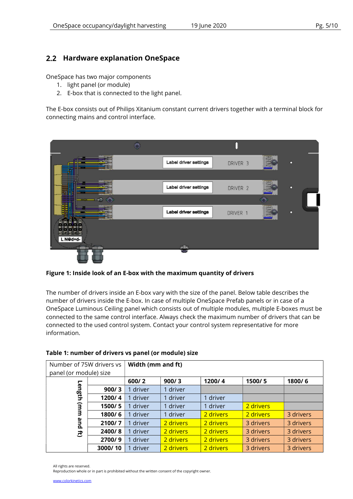## 2.2 Hardware explanation OneSpace

OneSpace has two major components

- 1. light panel (or module)
- 2. E-box that is connected to the light panel.

The E-box consists out of Philips Xitanium constant current drivers together with a terminal block for connecting mains and control interface.



Figure 1: Inside look of an E-box with the maximum quantity of drivers

The number of drivers inside an E-box vary with the size of the panel. Below table describes the number of drivers inside the E-box. In case of multiple OneSpace Prefab panels or in case of a OneSpace Luminous Ceiling panel which consists out of multiple modules, multiple E-boxes must be connected to the same control interface. Always check the maximum number of drivers that can be connected to the used control system. Contact your control system representative for more information.

| Number of 75W drivers vs |         | Width (mm and ft) |           |           |           |           |
|--------------------------|---------|-------------------|-----------|-----------|-----------|-----------|
| panel (or module) size   |         |                   |           |           |           |           |
|                          |         | 600/2             | 900/3     | 1200/4    | 1500/5    | 1800/6    |
| Length                   | 900/3   | driver            | driver    |           |           |           |
|                          | 1200/4  | driver            | driver    | 1 driver  |           |           |
| Э                        | 1500/5  | driver            | 1 driver  | 1 driver  | 2 drivers |           |
| В                        | 1800/6  | driver            | 1 driver  | 2 drivers | 2 drivers | 3 drivers |
| pue                      | 2100/7  | driver            | 2 drivers | 2 drivers | 3 drivers | 3 drivers |
| き                        | 2400/8  | driver            | 2 drivers | 2 drivers | 3 drivers | 3 drivers |
|                          | 2700/9  | driver            | 2 drivers | 2 drivers | 3 drivers | 3 drivers |
|                          | 3000/10 | driver            | 2 drivers | 2 drivers | 3 drivers | 3 drivers |

#### Table 1: number of drivers vs panel (or module) size

Reproduction whole or in part is prohibited without the written consent of the copyright owner.

All rights are reserved.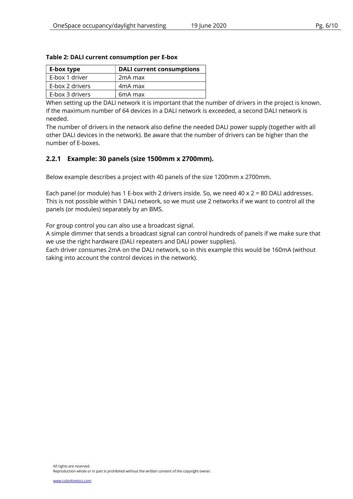| E-box type      | <b>DALI current consumptions</b> |
|-----------------|----------------------------------|
| E-box 1 driver  | 2 <sub>m</sub> A max             |
| E-box 2 drivers | 4 <sub>m</sub> A max             |
| E-box 3 drivers | 6mA max                          |

#### Table 2: DALI current consumption per E-box

When setting up the DALI network it is important that the number of drivers in the project is known. If the maximum number of 64 devices in a DALI network is exceeded, a second DALI network is needed.

The number of drivers in the network also define the needed DALI power supply (together with all other DALI devices in the network). Be aware that the number of drivers can be higher than the number of E-boxes.

#### 2.2.1 Example: 30 panels (size 1500mm x 2700mm).

Below example describes a project with 40 panels of the size 1200mm x 2700mm.

Each panel (or module) has 1 E-box with 2 drivers inside. So, we need 40 x 2 = 80 DALI addresses. This is not possible within 1 DALI network, so we must use 2 networks if we want to control all the panels (or modules) separately by an BMS.

For group control you can also use a broadcast signal.

A simple dimmer that sends a broadcast signal can control hundreds of panels if we make sure that we use the right hardware (DALI repeaters and DALI power supplies).

Each driver consumes 2mA on the DALI network, so in this example this would be 160mA (without taking into account the control devices in the network).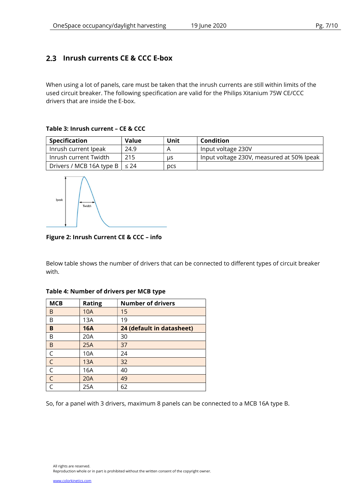## 2.3 Inrush currents CE & CCC E-box

When using a lot of panels, care must be taken that the inrush currents are still within limits of the used circuit breaker. The following specification are valid for the Philips Xitanium 75W CE/CCC drivers that are inside the E-box.

#### Table 3: Inrush current – CE & CCC

| Specification                            | Value | Unit | Condition                                 |
|------------------------------------------|-------|------|-------------------------------------------|
| Inrush current Ipeak                     | 24.9  |      | Input voltage 230V                        |
| Inrush current Twidth                    | 215   | us   | Input voltage 230V, measured at 50% Ipeak |
| Drivers / MCB 16A type B $\vert \leq 24$ |       | pcs  |                                           |



#### Figure 2: Inrush Current CE & CCC – info

Below table shows the number of drivers that can be connected to different types of circuit breaker with.

| <b>MCB</b>   | <b>Rating</b> | <b>Number of drivers</b>  |
|--------------|---------------|---------------------------|
| B            | 10A           | 15                        |
| B            | 13A           | 19                        |
| B            | <b>16A</b>    | 24 (default in datasheet) |
| B            | 20A           | 30                        |
| B            | 25A           | 37                        |
| $\mathsf C$  | 10A           | 24                        |
| $\mathsf{C}$ | 13A           | 32                        |
| $\mathsf C$  | 16A           | 40                        |
| $\mathsf{C}$ | 20A           | 49                        |
| $\subset$    | 25A           | 62                        |

#### Table 4: Number of drivers per MCB type

So, for a panel with 3 drivers, maximum 8 panels can be connected to a MCB 16A type B.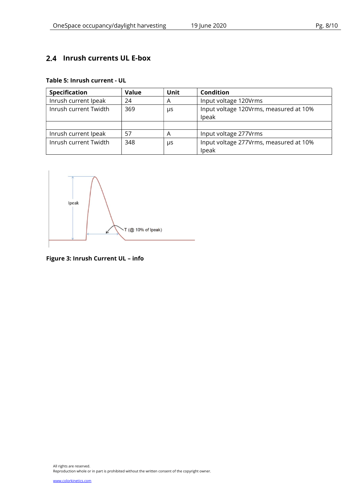## 2.4 Inrush currents UL E-box

#### Table 5: Inrush current - UL

| <b>Specification</b>  | <b>Value</b> | <b>Unit</b> | <b>Condition</b>                                |  |
|-----------------------|--------------|-------------|-------------------------------------------------|--|
| Inrush current Ipeak  | 24           | A           | Input voltage 120Vrms                           |  |
| Inrush current Twidth | 369          | μs          | Input voltage 120Vrms, measured at 10%<br>Ipeak |  |
|                       |              |             |                                                 |  |
| Inrush current Ipeak  | 57           | Α           | Input voltage 277Vrms                           |  |
| Inrush current Twidth | 348          | μs          | Input voltage 277Vrms, measured at 10%<br>Ipeak |  |



Figure 3: Inrush Current UL – info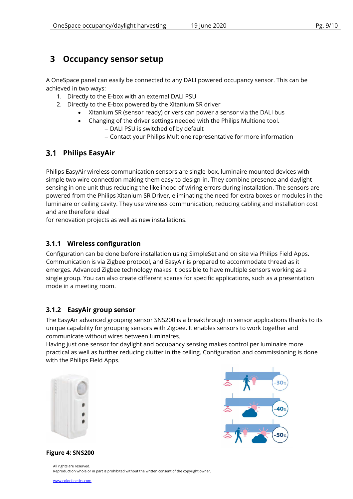## 3 Occupancy sensor setup

A OneSpace panel can easily be connected to any DALI powered occupancy sensor. This can be achieved in two ways:

- 1. Directly to the E-box with an external DALI PSU
- 2. Directly to the E-box powered by the Xitanium SR driver
	- Xitanium SR (sensor ready) drivers can power a sensor via the DALI bus
	- Changing of the driver settings needed with the Philips Multione tool.
		- DALI PSU is switched of by default
		- Contact your Philips Multione representative for more information

## 3.1 Philips EasyAir

Philips EasyAir wireless communication sensors are single-box, luminaire mounted devices with simple two wire connection making them easy to design-in. They combine presence and daylight sensing in one unit thus reducing the likelihood of wiring errors during installation. The sensors are powered from the Philips Xitanium SR Driver, eliminating the need for extra boxes or modules in the luminaire or ceiling cavity. They use wireless communication, reducing cabling and installation cost and are therefore ideal

for renovation projects as well as new installations.

## 3.1.1 Wireless configuration

Configuration can be done before installation using SimpleSet and on site via Philips Field Apps. Communication is via Zigbee protocol, and EasyAir is prepared to accommodate thread as it emerges. Advanced Zigbee technology makes it possible to have multiple sensors working as a single group. You can also create different scenes for specific applications, such as a presentation mode in a meeting room.

### 3.1.2 EasyAir group sensor

The EasyAir advanced grouping sensor SNS200 is a breakthrough in sensor applications thanks to its unique capability for grouping sensors with Zigbee. It enables sensors to work together and communicate without wires between luminaires.

Having just one sensor for daylight and occupancy sensing makes control per luminaire more practical as well as further reducing clutter in the ceiling. Configuration and commissioning is done with the Philips Field Apps.





Figure 4: SNS200

All rights are reserved. Reproduction whole or in part is prohibited without the written consent of the copyright owner.